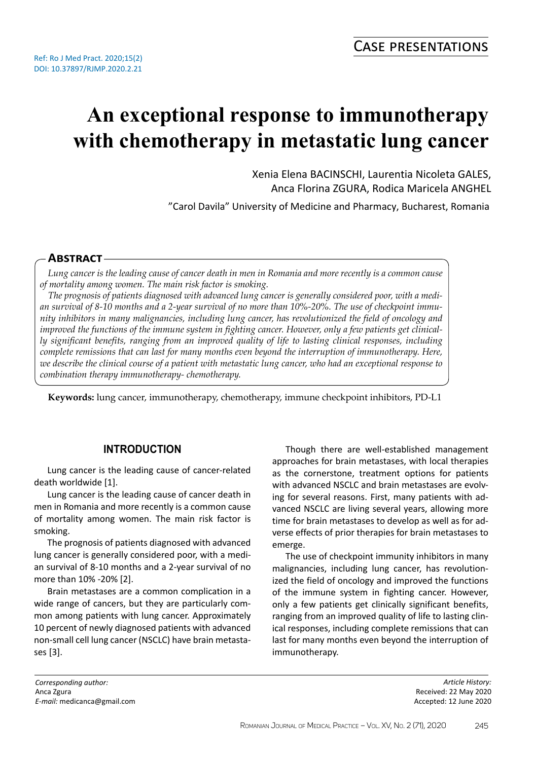# **An exceptional response to immunotherapy with chemotherapy in metastatic lung cancer**

Xenia Elena BACINSCHI, Laurentia Nicoleta GALES, Anca Florina ZGURA, Rodica Maricela ANGHEL

"Carol Davila" University of Medicine and Pharmacy, Bucharest, Romania

## **Abstract**

*Lung cancer is the leading cause of cancer death in men in Romania and more recently is a common cause of mortality among women. The main risk factor is smoking.*

*The prognosis of patients diagnosed with advanced lung cancer is generally considered poor, with a median survival of 8-10 months and a 2-year survival of no more than 10%-20%. The use of checkpoint immunity inhibitors in many malignancies, including lung cancer, has revolutionized the field of oncology and improved the functions of the immune system in fighting cancer. However, only a few patients get clinically significant benefits, ranging from an improved quality of life to lasting clinical responses, including complete remissions that can last for many months even beyond the interruption of immunotherapy. Here, we describe the clinical course of a patient with metastatic lung cancer, who had an exceptional response to combination therapy immunotherapy- chemotherapy.*

**Keywords:** lung cancer, immunotherapy, chemotherapy, immune checkpoint inhibitors, PD-L1

## **INTRODUCTION**

Lung cancer is the leading cause of cancer-related death worldwide [1].

Lung cancer is the leading cause of cancer death in men in Romania and more recently is a common cause of mortality among women. The main risk factor is smoking.

The prognosis of patients diagnosed with advanced lung cancer is generally considered poor, with a median survival of 8-10 months and a 2-year survival of no more than 10% -20% [2].

Brain metastases are a common complication in a wide range of cancers, but they are particularly common among patients with lung cancer. Approximately 10 percent of newly diagnosed patients with advanced non-small cell lung cancer (NSCLC) have brain metastases [3].

Though there are well-established management approaches for brain metastases, with local therapies as the cornerstone, treatment options for patients with advanced NSCLC and brain metastases are evolving for several reasons. First, many patients with advanced NSCLC are living several years, allowing more time for brain metastases to develop as well as for adverse effects of prior therapies for brain metastases to emerge.

The use of checkpoint immunity inhibitors in many malignancies, including lung cancer, has revolutionized the field of oncology and improved the functions of the immune system in fighting cancer. However, only a few patients get clinically significant benefits, ranging from an improved quality of life to lasting clinical responses, including complete remissions that can last for many months even beyond the interruption of immunotherapy.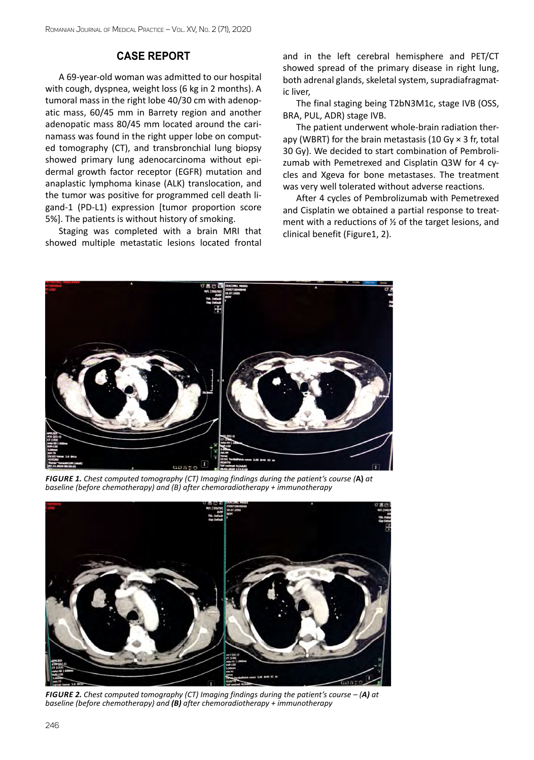#### **Case report**

A 69-year-old woman was admitted to our hospital with cough, dyspnea, weight loss (6 kg in 2 months). A tumoral mass in the right lobe 40/30 cm with adenopatic mass, 60/45 mm in Barrety region and another adenopatic mass 80/45 mm located around the carinamass was found in the right upper lobe on computed tomography (CT), and transbronchial lung biopsy showed primary lung adenocarcinoma without epidermal growth factor receptor (EGFR) mutation and anaplastic lymphoma kinase (ALK) translocation, and the tumor was positive for programmed cell death ligand-1 (PD-L1) expression [tumor proportion score 5%]. The patients is without history of smoking.

Staging was completed with a brain MRI that showed multiple metastatic lesions located frontal and in the left cerebral hemisphere and PET/CT showed spread of the primary disease in right lung, both adrenal glands, skeletal system, supradiafragmatic liver,

The final staging being T2bN3M1c, stage IVB (OSS, BRA, PUL, ADR) stage IVB.

The patient underwent whole-brain radiation therapy (WBRT) for the brain metastasis (10 Gy  $\times$  3 fr, total 30 Gy). We decided to start combination of Pembrolizumab with Pemetrexed and Cisplatin Q3W for 4 cycles and Xgeva for bone metastases. The treatment was very well tolerated without adverse reactions.

After 4 cycles of Pembrolizumab with Pemetrexed and Cisplatin we obtained a partial response to treatment with a reductions of ½ of the target lesions, and clinical benefit (Figure1, 2).



*Figure 1. Chest computed tomography (CT) Imaging findings during the patient's course (***A)** *at baseline (before chemotherapy) and (B) after chemoradiotherapy + immunotherapy* 



*Figure 2. Chest computed tomography (CT) Imaging findings during the patient's course – (A) at baseline (before chemotherapy) and (B) after chemoradiotherapy + immunotherapy*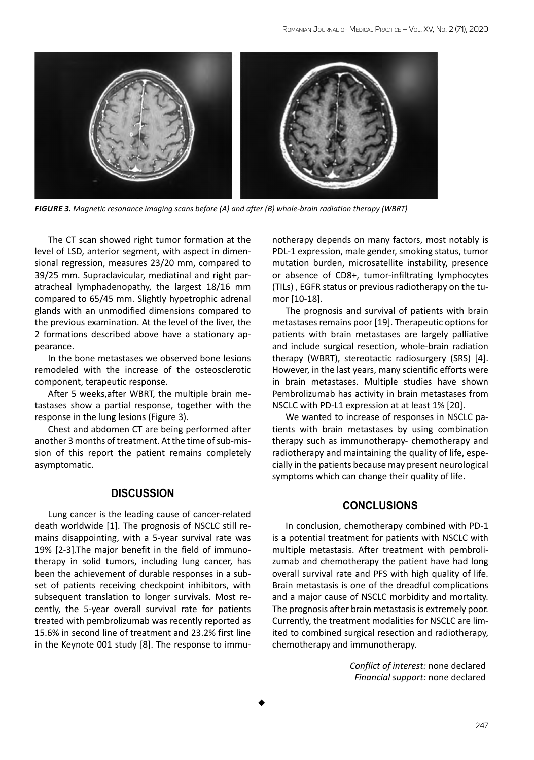

*Figure 3. Magnetic resonance imaging scans before (A) and after (B) whole-brain radiation therapy (WBRT)*

The CT scan showed right tumor formation at the level of LSD, anterior segment, with aspect in dimensional regression, measures 23/20 mm, compared to 39/25 mm. Supraclavicular, mediatinal and right paratracheal lymphadenopathy, the largest 18/16 mm compared to 65/45 mm. Slightly hypetrophic adrenal glands with an unmodified dimensions compared to the previous examination. At the level of the liver, the 2 formations described above have a stationary appearance.

In the bone metastases we observed bone lesions remodeled with the increase of the osteosclerotic component, terapeutic response.

After 5 weeks,after WBRT, the multiple brain metastases show a partial response, together with the response in the lung lesions (Figure 3).

Chest and abdomen CT are being performed after another 3 months of treatment. At the time of sub-mission of this report the patient remains completely asymptomatic.

#### **DISCUSSION**

Lung cancer is the leading cause of cancer-related death worldwide [1]. The prognosis of NSCLC still remains disappointing, with a 5-year survival rate was 19% [2-3].The major benefit in the field of immunotherapy in solid tumors, including lung cancer, has been the achievement of durable responses in a subset of patients receiving checkpoint inhibitors, with subsequent translation to longer survivals. Most recently, the 5-year overall survival rate for patients treated with pembrolizumab was recently reported as 15.6% in second line of treatment and 23.2% first line in the Keynote 001 study [8]. The response to immunotherapy depends on many factors, most notably is PDL-1 expression, male gender, smoking status, tumor mutation burden, microsatellite instability, presence or absence of CD8+, tumor-infiltrating lymphocytes (TILs) , EGFR status or previous radiotherapy on the tumor [10-18].

The prognosis and survival of patients with brain metastases remains poor [19]. Therapeutic options for patients with brain metastases are largely palliative and include surgical resection, whole-brain radiation therapy (WBRT), stereotactic radiosurgery (SRS) [4]. However, in the last years, many scientific efforts were in brain metastases. Multiple studies have shown Pembrolizumab has activity in brain metastases from NSCLC with PD-L1 expression at at least 1% [20].

We wanted to increase of responses in NSCLC patients with brain metastases by using combination therapy such as immunotherapy- chemotherapy and radiotherapy and maintaining the quality of life, especially in the patients because may present neurological symptoms which can change their quality of life.

### **CONCLUSIONS**

In conclusion, chemotherapy combined with PD-1 is a potential treatment for patients with NSCLC with multiple metastasis. After treatment with pembrolizumab and chemotherapy the patient have had long overall survival rate and PFS with high quality of life. Brain metastasis is one of the dreadful complications and a major cause of NSCLC morbidity and mortality. The prognosis after brain metastasis is extremely poor. Currently, the treatment modalities for NSCLC are limited to combined surgical resection and radiotherapy, chemotherapy and immunotherapy.

> *Conflict of interest:* none declared *Financial support:* none declared